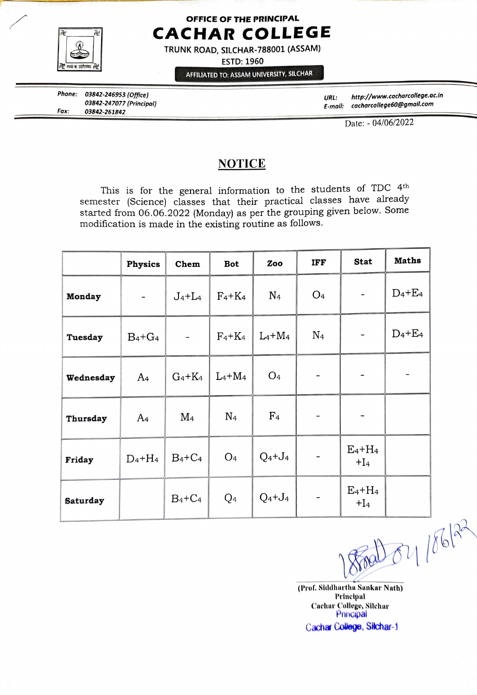

## OFFICE OF THE PRINCIPAL CACHAR COLLEGE

TRUNK ROAD, SILCHAR-788001 (ASSAM)

ESTD: 1960

AFFILIATED TO: ASSAM UNIVERSITY, SILCHAR

Phone: 03842-246953 (Office) 03842-247o77 (Principal) 03842-261842 Fax:

http://www.cacharcolege.ac.in E-mall: cacharcollege60@gmail.com URL:

Date: - 04/06/2022

## NOTICE

This is for the general information to the students of TDC 4th semester (Science) classes that their practical classes have already started from 06.06.2022 (Monday) as per the grouping given below. Some modification is made in the existing routine as follows.

|           | <b>Physics</b>           | Chem      | <b>Bot</b>     | Zoo            | IFF                      | Stat                | <b>Maths</b>                |
|-----------|--------------------------|-----------|----------------|----------------|--------------------------|---------------------|-----------------------------|
| Monday    | $\overline{\phantom{a}}$ | $J_4+L_4$ | $F_4+K_4$      | $\rm N_4$      | O <sub>4</sub>           |                     | $D_4 + E_4$                 |
| Tuesday   | $B_4 + G_4$              |           | $F_4+K_4$      | $L_4+M_4$      | $\rm N_4$                |                     | $D_4 + E_4$                 |
| Wednesday | A <sub>4</sub>           | $G_4+K_4$ | $L_4+M_4$      | O <sub>4</sub> |                          |                     |                             |
| Thursday  | A <sub>4</sub>           | $\rm M_4$ | $\rm N_4$      | F <sub>4</sub> | $\overline{\phantom{a}}$ |                     |                             |
| Friday    | $D_4+H_4$                | $B_4+C_4$ | O <sub>4</sub> | $Q_4 + J_4$    |                          | $E_4+H_4$<br>$+I_4$ | $\mathcal{L}_{\mathcal{A}}$ |
| Saturday  |                          | $B_4+C_4$ | $Q_4$          | $Q_4 + J_4$    |                          | $E_4+H_4$<br>$+I_4$ |                             |

(Prof. Siddhartha Sankar Nath)

Prineipal Cachar College, Silehar Principal Cachar College, Silchar-1